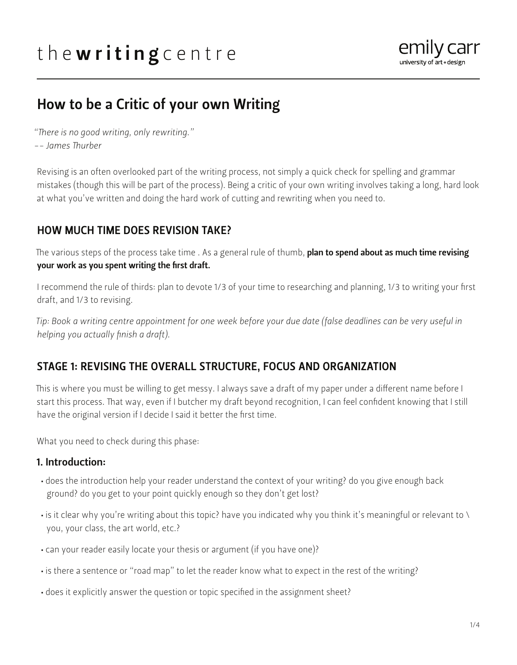# the writing centre



## How to be a Critic of your own Writing

*"There is no good writing, only rewriting."*

*-- James Thurber*

Revising is an often overlooked part of the writing process, not simply a quick check for spelling and grammar mistakes (though this will be part of the process). Being a critic of your own writing involves taking a long, hard look at what you've written and doing the hard work of cutting and rewriting when you need to.

## HOW MUCH TIME DOES REVISION TAKE?

The various steps of the process take time . As a general rule of thumb, **plan to spend about as much time revising** your work as you spent writing the first draft.

I recommend the rule of thirds: plan to devote 1/3 of your time to researching and planning, 1/3 to writing your first draft, and 1/3 to revising.

*Tip: Book a writing centre appointment for one week before your due date (false deadlines can be very useful in helping you actually finish a draft).*

## STAGE 1: REVISING THE OVERALL STRUCTURE, FOCUS AND ORGANIZATION

This is where you must be willing to get messy. I always save a draft of my paper under a different name before I start this process. That way, even if I butcher my draft beyond recognition, I can feel confident knowing that I still have the original version if I decide I said it better the first time.

What you need to check during this phase:

## 1. Introduction:

- does the introduction help your reader understand the context of your writing? do you give enough back ground? do you get to your point quickly enough so they don't get lost?
- is it clear why you're writing about this topic? have you indicated why you think it's meaningful or relevant to \ you, your class, the art world, etc.?
- can your reader easily locate your thesis or argument (if you have one)?
- is there a sentence or "road map" to let the reader know what to expect in the rest of the writing?
- does it explicitly answer the question or topic specified in the assignment sheet?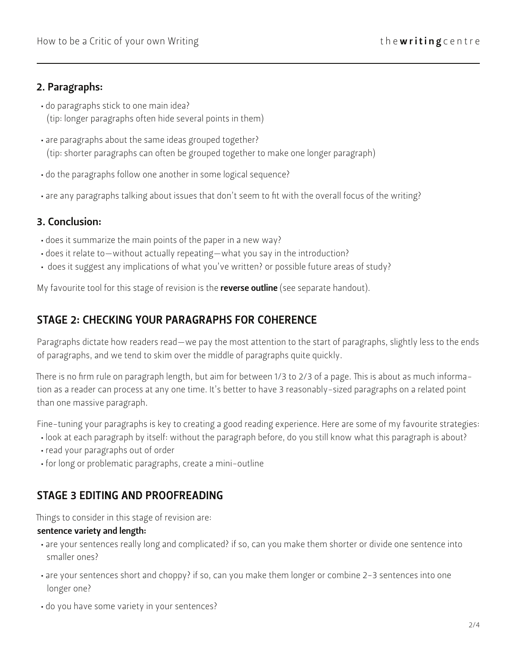## 2. Paragraphs:

• do paragraphs stick to one main idea? (tip: longer paragraphs often hide several points in them)

- are paragraphs about the same ideas grouped together? (tip: shorter paragraphs can often be grouped together to make one longer paragraph)
- do the paragraphs follow one another in some logical sequence?
- are any paragraphs talking about issues that don't seem to fit with the overall focus of the writing?

## 3. Conclusion:

- does it summarize the main points of the paper in a new way?
- does it relate to—without actually repeating—what you say in the introduction?
- does it suggest any implications of what you've written? or possible future areas of study?

My favourite tool for this stage of revision is the reverse outline (see separate handout).

## STAGE 2: CHECKING YOUR PARAGRAPHS FOR COHERENCE

Paragraphs dictate how readers read—we pay the most attention to the start of paragraphs, slightly less to the ends of paragraphs, and we tend to skim over the middle of paragraphs quite quickly.

There is no firm rule on paragraph length, but aim for between 1/3 to 2/3 of a page. This is about as much information as a reader can process at any one time. It's better to have 3 reasonably-sized paragraphs on a related point than one massive paragraph.

Fine-tuning your paragraphs is key to creating a good reading experience. Here are some of my favourite strategies:

- look at each paragraph by itself: without the paragraph before, do you still know what this paragraph is about?
- read your paragraphs out of order
- for long or problematic paragraphs, create a mini-outline

## STAGE 3 EDITING AND PROOFREADING

Things to consider in this stage of revision are:

#### sentence variety and length:

- are your sentences really long and complicated? if so, can you make them shorter or divide one sentence into smaller ones?
- are your sentences short and choppy? if so, can you make them longer or combine 2-3 sentences into one longer one?
- do you have some variety in your sentences?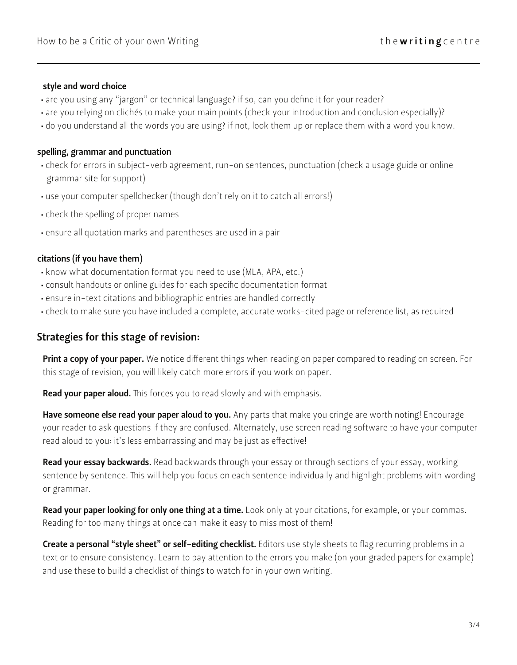#### style and word choice

- are you using any "jargon" or technical language? if so, can you define it for your reader?
- are you relying on clichés to make your main points (check your introduction and conclusion especially)?
- do you understand all the words you are using? if not, look them up or replace them with a word you know.

#### spelling, grammar and punctuation

- check for errors in subject-verb agreement, run-on sentences, punctuation (check a usage guide or online grammar site for support)
- use your computer spellchecker (though don't rely on it to catch all errors!)
- check the spelling of proper names
- ensure all quotation marks and parentheses are used in a pair

#### citations (if you have them)

- know what documentation format you need to use (MLA, APA, etc.)
- consult handouts or online guides for each specific documentation format
- ensure in-text citations and bibliographic entries are handled correctly
- check to make sure you have included a complete, accurate works-cited page or reference list, as required

## Strategies for this stage of revision:

Print a copy of your paper. We notice different things when reading on paper compared to reading on screen. For this stage of revision, you will likely catch more errors if you work on paper.

Read your paper aloud. This forces you to read slowly and with emphasis.

Have someone else read your paper aloud to you. Any parts that make you cringe are worth noting! Encourage your reader to ask questions if they are confused. Alternately, use screen reading software to have your computer read aloud to you: it's less embarrassing and may be just as effective!

Read your essay backwards. Read backwards through your essay or through sections of your essay, working sentence by sentence. This will help you focus on each sentence individually and highlight problems with wording or grammar.

Read your paper looking for only one thing at a time. Look only at your citations, for example, or your commas. Reading for too many things at once can make it easy to miss most of them!

Create a personal "style sheet" or self-editing checklist. Editors use style sheets to flag recurring problems in a text or to ensure consistency. Learn to pay attention to the errors you make (on your graded papers for example) and use these to build a checklist of things to watch for in your own writing.